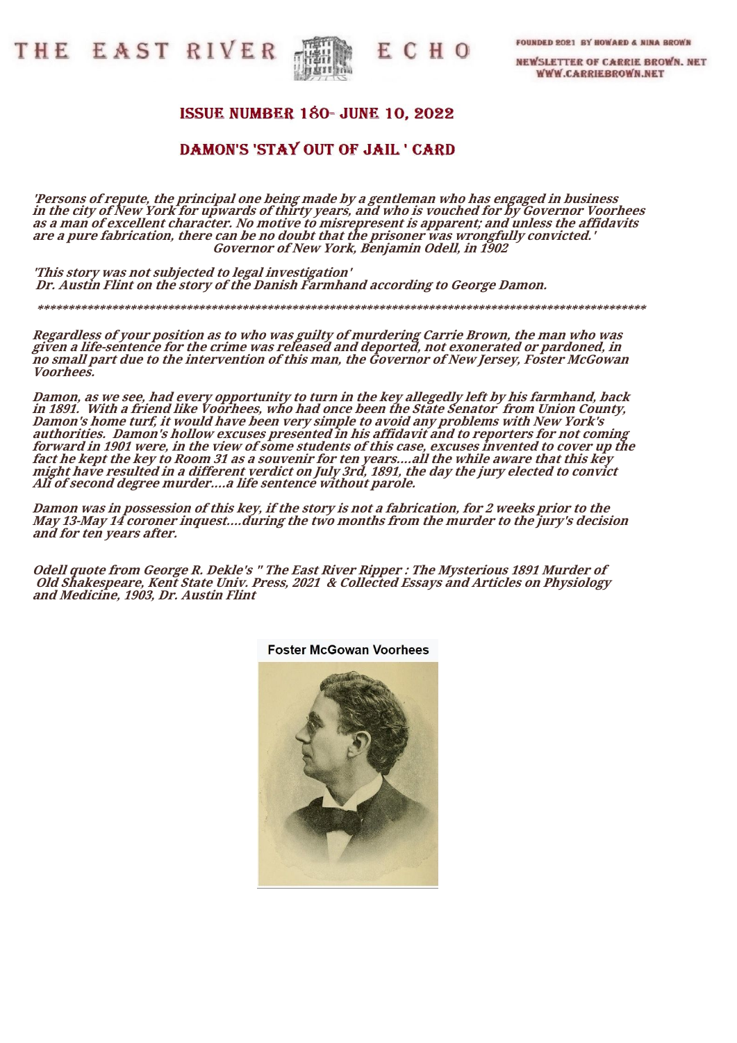THE EAST RIVER



ECHO

FOUNDED 2021 BY HOWARD & NINA BROWN

**NEWSLETTER OF CARRIE BROWN. NET WWW.CARRIEBROWN.NET** 

## **ISSUE NUMBER 180- JUNE 10, 2022**

## DAMON'S 'STAY OUT OF JAIL' CARD

**'Persons of repute, the principal one being made by a gentleman who has engaged in business in the city of New York for upwards of thirty years, and who is vouched for by Governor Voorhees as a man of excellent character. No motive to misrepresent is apparent; and unless the affidavits are a pure fabrication, there can be no doubt that the prisoner was wrongfully convicted.' Governor of New York, Benjamin Odell, in 1902**

 **\*\*\*\*\*\*\*\*\*\*\*\*\*\*\*\*\*\*\*\*\*\*\*\*\*\*\*\*\*\*\*\*\*\*\*\*\*\*\*\*\*\*\*\*\*\*\*\*\*\*\*\*\*\*\*\*\*\*\*\*\*\*\*\*\*\*\*\*\*\*\*\*\*\*\*\*\*\*\*\*\*\*\*\*\*\*\*\*\*\*\*\*\*\*\*\*\*\***

**'This story was not subjected to legal investigation' Dr. Austin Flint on the story of the Danish Farmhand according to George Damon.**

**Regardless of your position as to who was guilty of murdering Carrie Brown, the man who was given a life-sentence for the crime was released and deported, not exonerated or pardoned, in no small part due to the intervention of this man, the Governor of New Jersey, Foster McGowan Voorhees.**

**Damon, as we see, had every opportunity to turn in the key allegedly left by his farmhand, back in 1891. With a friend like Voorhees, who had once been the State Senator from Union County, Damon's home turf, it would have been very simple to avoid any problems with New York's authorities. Damon's hollow excuses presented in his affidavit and to reporters for not coming forward in 1901 were, in the view of some students of this case, excuses invented to cover up the fact he kept the key to Room 31 as a souvenir for ten years....all the while aware that this key might have resulted in a different verdict on July 3rd, 1891, the day the jury elected to convict Ali of second degree murder....a life sentence without parole.**

**Damon was in possession of this key, if the story is not a fabrication, for 2 weeks prior to the May 13-May 14 coroner inquest....during the two months from the murder to the jury's decision and for ten years after.**

**Odell quote from George R. Dekle's " The East River Ripper : The Mysterious 1891 Murder of Old Shakespeare, Kent State Univ. Press, 2021 & Collected Essays and Articles on Physiology and Medicine, 1903, Dr. Austin Flint**



**Foster McGowan Voorhees**